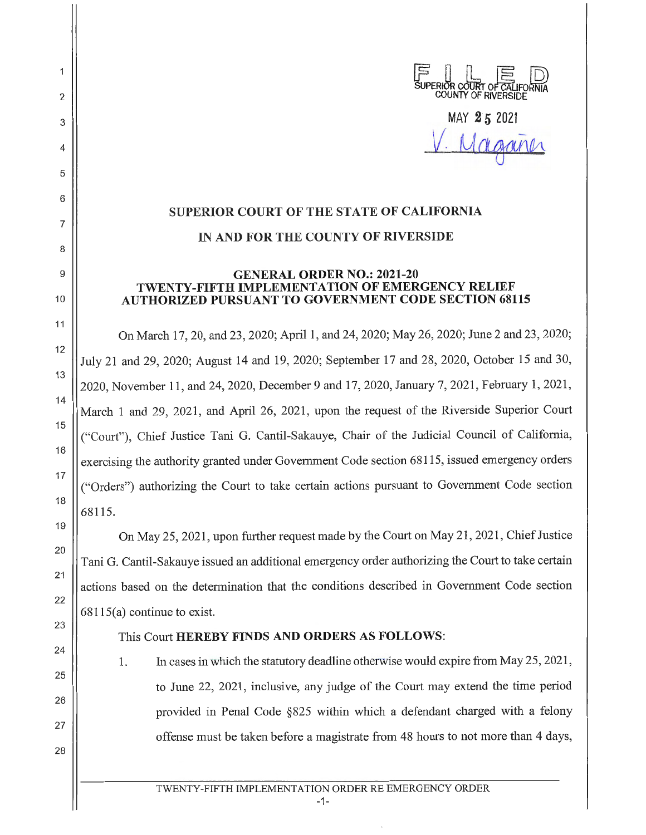

MAY **2 5 <sup>2021</sup>** Maganer

## **SUPERIOR COURT OF THE STATE OF CALIFORNIA IN AND FOR THE COUNTY OF RIVERSIDE**

2

 $\overline{1}$ 

3

4

5

6

7

8

9

10

11

12

13

14

15

16

17

18

19

20

21

22

23

24

25

26

27

28

## **GENERAL ORDER NO.: 2021-20 TWENTY-FIFTH IMPLEMENTATION OF EMERGENCY RELIEF AUTHORIZED PURSUANT TO GOVERNMENT CODE SECTION 68115**

On March 17, 20, and 23, 2020; April 1, and 24, 2020; May 26, 2020; June 2 and 23, 2020; July 21 and 29, 2020; August 14 and 19, 2020; September 17 and 28, 2020, October 15 and 30, 2020, November 11, and 24, 2020, December 9 and 17, 2020, January 7, 2021, February 1, 2021, March 1 and 29, 2021, and April 26, 2021, upon the request of the Riverside Superior Court ("Court"), Chief Justice Tani G. Cantil-Sakauye, Chair of the Judicial Council of California, exercising the authority granted under Government Code section 68115, issued emergency orders ("Orders") authorizing the Court to take certain actions pursuant to Government Code section 68115.

On May 25, 2021, upon further request made by the Court on May 21 , 2021 , Chief Justice Tani G. Cantil-Sakauye issued an additional emergency order authorizing the Court to take certain actions based on the detennination that the conditions described in Government Code section 68115(a) continue to exist.

## This Court **HEREBY FINDS AND ORDERS AS FOLLOWS:**

1. In cases in which the statutory deadline otherwise would expire from May 25, 2021, to June 22, 2021 , inclusive, any judge of the Court may extend the time period provided in Penal Code §825 within which a defendant charged with a felony offense must be taken before a magistrate from 48 hours to not more than 4 days,